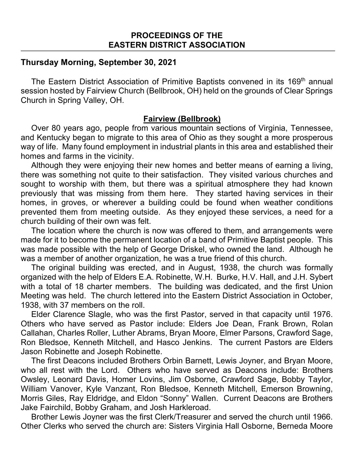## **Thursday Morning, September 30, 2021**

The Eastern District Association of Primitive Baptists convened in its 169<sup>th</sup> annual session hosted by Fairview Church (Bellbrook, OH) held on the grounds of Clear Springs Church in Spring Valley, OH.

### **Fairview (Bellbrook)**

Over 80 years ago, people from various mountain sections of Virginia, Tennessee, and Kentucky began to migrate to this area of Ohio as they sought a more prosperous way of life. Many found employment in industrial plants in this area and established their homes and farms in the vicinity.

Although they were enjoying their new homes and better means of earning a living, there was something not quite to their satisfaction. They visited various churches and sought to worship with them, but there was a spiritual atmosphere they had known previously that was missing from them here. They started having services in their homes, in groves, or wherever a building could be found when weather conditions prevented them from meeting outside. As they enjoyed these services, a need for a church building of their own was felt.

The location where the church is now was offered to them, and arrangements were made for it to become the permanent location of a band of Primitive Baptist people. This was made possible with the help of George Driskel, who owned the land. Although he was a member of another organization, he was a true friend of this church.

The original building was erected, and in August, 1938, the church was formally organized with the help of Elders E.A. Robinette, W.H. Burke, H.V. Hall, and J.H. Sybert with a total of 18 charter members. The building was dedicated, and the first Union Meeting was held. The church lettered into the Eastern District Association in October, 1938, with 37 members on the roll.

Elder Clarence Slagle, who was the first Pastor, served in that capacity until 1976. Others who have served as Pastor include: Elders Joe Dean, Frank Brown, Rolan Callahan, Charles Roller, Luther Abrams, Bryan Moore, Elmer Parsons, Crawford Sage, Ron Bledsoe, Kenneth Mitchell, and Hasco Jenkins. The current Pastors are Elders Jason Robinette and Joseph Robinette.

The first Deacons included Brothers Orbin Barnett, Lewis Joyner, and Bryan Moore, who all rest with the Lord. Others who have served as Deacons include: Brothers Owsley, Leonard Davis, Homer Lovins, Jim Osborne, Crawford Sage, Bobby Taylor, William Vanover, Kyle Vanzant, Ron Bledsoe, Kenneth Mitchell, Emerson Browning, Morris Giles, Ray Eldridge, and Eldon "Sonny" Wallen. Current Deacons are Brothers Jake Fairchild, Bobby Graham, and Josh Harkleroad.

Brother Lewis Joyner was the first Clerk/Treasurer and served the church until 1966. Other Clerks who served the church are: Sisters Virginia Hall Osborne, Berneda Moore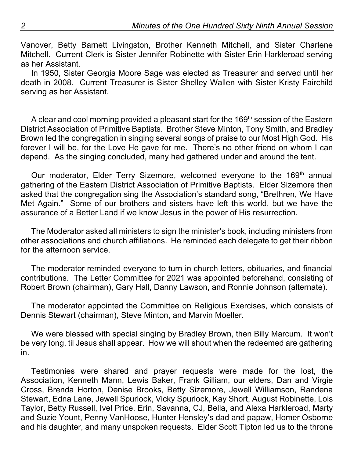Vanover, Betty Barnett Livingston, Brother Kenneth Mitchell, and Sister Charlene Mitchell. Current Clerk is Sister Jennifer Robinette with Sister Erin Harkleroad serving as her Assistant.

In 1950, Sister Georgia Moore Sage was elected as Treasurer and served until her death in 2008. Current Treasurer is Sister Shelley Wallen with Sister Kristy Fairchild serving as her Assistant.

A clear and cool morning provided a pleasant start for the 169<sup>th</sup> session of the Eastern District Association of Primitive Baptists. Brother Steve Minton, Tony Smith, and Bradley Brown led the congregation in singing several songs of praise to our Most High God. His forever I will be, for the Love He gave for me. There's no other friend on whom I can depend. As the singing concluded, many had gathered under and around the tent.

Our moderator, Elder Terry Sizemore, welcomed everyone to the 169<sup>th</sup> annual gathering of the Eastern District Association of Primitive Baptists. Elder Sizemore then asked that the congregation sing the Association's standard song, "Brethren, We Have Met Again." Some of our brothers and sisters have left this world, but we have the assurance of a Better Land if we know Jesus in the power of His resurrection.

The Moderator asked all ministers to sign the minister's book, including ministers from other associations and church affiliations. He reminded each delegate to get their ribbon for the afternoon service.

The moderator reminded everyone to turn in church letters, obituaries, and financial contributions. The Letter Committee for 2021 was appointed beforehand, consisting of Robert Brown (chairman), Gary Hall, Danny Lawson, and Ronnie Johnson (alternate).

The moderator appointed the Committee on Religious Exercises, which consists of Dennis Stewart (chairman), Steve Minton, and Marvin Moeller.

We were blessed with special singing by Bradley Brown, then Billy Marcum. It won't be very long, til Jesus shall appear. How we will shout when the redeemed are gathering in.

Testimonies were shared and prayer requests were made for the lost, the Association, Kenneth Mann, Lewis Baker, Frank Gilliam, our elders, Dan and Virgie Cross, Brenda Horton, Denise Brooks, Betty Sizemore, Jewell Williamson, Randena Stewart, Edna Lane, Jewell Spurlock, Vicky Spurlock, Kay Short, August Robinette, Lois Taylor, Betty Russell, Ivel Price, Erin, Savanna, CJ, Bella, and Alexa Harkleroad, Marty and Suzie Yount, Penny VanHoose, Hunter Hensley's dad and papaw, Homer Osborne and his daughter, and many unspoken requests. Elder Scott Tipton led us to the throne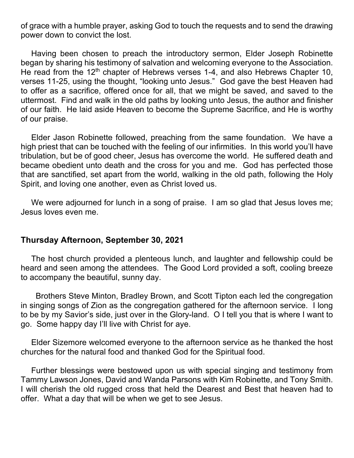of grace with a humble prayer, asking God to touch the requests and to send the drawing power down to convict the lost.

Having been chosen to preach the introductory sermon, Elder Joseph Robinette began by sharing his testimony of salvation and welcoming everyone to the Association. He read from the 12<sup>th</sup> chapter of Hebrews verses 1-4, and also Hebrews Chapter 10, verses 11-25, using the thought, "looking unto Jesus." God gave the best Heaven had to offer as a sacrifice, offered once for all, that we might be saved, and saved to the uttermost. Find and walk in the old paths by looking unto Jesus, the author and finisher of our faith. He laid aside Heaven to become the Supreme Sacrifice, and He is worthy of our praise.

Elder Jason Robinette followed, preaching from the same foundation. We have a high priest that can be touched with the feeling of our infirmities. In this world you'll have tribulation, but be of good cheer, Jesus has overcome the world. He suffered death and became obedient unto death and the cross for you and me. God has perfected those that are sanctified, set apart from the world, walking in the old path, following the Holy Spirit, and loving one another, even as Christ loved us.

We were adjourned for lunch in a song of praise. I am so glad that Jesus loves me; Jesus loves even me.

#### **Thursday Afternoon, September 30, 2021**

The host church provided a plenteous lunch, and laughter and fellowship could be heard and seen among the attendees. The Good Lord provided a soft, cooling breeze to accompany the beautiful, sunny day.

 Brothers Steve Minton, Bradley Brown, and Scott Tipton each led the congregation in singing songs of Zion as the congregation gathered for the afternoon service. I long to be by my Savior's side, just over in the Glory-land. O I tell you that is where I want to go. Some happy day I'll live with Christ for aye.

Elder Sizemore welcomed everyone to the afternoon service as he thanked the host churches for the natural food and thanked God for the Spiritual food.

Further blessings were bestowed upon us with special singing and testimony from Tammy Lawson Jones, David and Wanda Parsons with Kim Robinette, and Tony Smith. I will cherish the old rugged cross that held the Dearest and Best that heaven had to offer. What a day that will be when we get to see Jesus.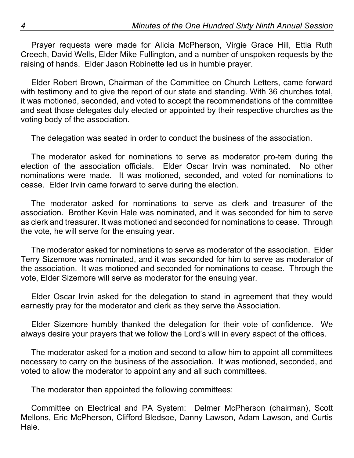Prayer requests were made for Alicia McPherson, Virgie Grace Hill, Ettia Ruth Creech, David Wells, Elder Mike Fullington, and a number of unspoken requests by the raising of hands. Elder Jason Robinette led us in humble prayer.

Elder Robert Brown, Chairman of the Committee on Church Letters, came forward with testimony and to give the report of our state and standing. With 36 churches total, it was motioned, seconded, and voted to accept the recommendations of the committee and seat those delegates duly elected or appointed by their respective churches as the voting body of the association.

The delegation was seated in order to conduct the business of the association.

The moderator asked for nominations to serve as moderator pro-tem during the election of the association officials. Elder Oscar Irvin was nominated. No other nominations were made. It was motioned, seconded, and voted for nominations to cease. Elder Irvin came forward to serve during the election.

The moderator asked for nominations to serve as clerk and treasurer of the association. Brother Kevin Hale was nominated, and it was seconded for him to serve as clerk and treasurer. It was motioned and seconded for nominations to cease. Through the vote, he will serve for the ensuing year.

The moderator asked for nominations to serve as moderator of the association. Elder Terry Sizemore was nominated, and it was seconded for him to serve as moderator of the association. It was motioned and seconded for nominations to cease. Through the vote, Elder Sizemore will serve as moderator for the ensuing year.

Elder Oscar Irvin asked for the delegation to stand in agreement that they would earnestly pray for the moderator and clerk as they serve the Association.

Elder Sizemore humbly thanked the delegation for their vote of confidence. We always desire your prayers that we follow the Lord's will in every aspect of the offices.

The moderator asked for a motion and second to allow him to appoint all committees necessary to carry on the business of the association. It was motioned, seconded, and voted to allow the moderator to appoint any and all such committees.

The moderator then appointed the following committees:

Committee on Electrical and PA System: Delmer McPherson (chairman), Scott Mellons, Eric McPherson, Clifford Bledsoe, Danny Lawson, Adam Lawson, and Curtis Hale.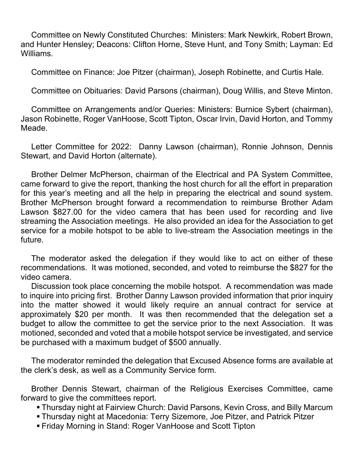Committee on Newly Constituted Churches: Ministers: Mark Newkirk, Robert Brown, and Hunter Hensley; Deacons: Clifton Horne, Steve Hunt, and Tony Smith; Layman: Ed Williams.

Committee on Finance: Joe Pitzer (chairman), Joseph Robinette, and Curtis Hale.

Committee on Obituaries: David Parsons (chairman), Doug Willis, and Steve Minton.

Committee on Arrangements and/or Queries: Ministers: Burnice Sybert (chairman), Jason Robinette, Roger VanHoose, Scott Tipton, Oscar Irvin, David Horton, and Tommy Meade.

Letter Committee for 2022: Danny Lawson (chairman), Ronnie Johnson, Dennis Stewart, and David Horton (alternate).

Brother Delmer McPherson, chairman of the Electrical and PA System Committee, came forward to give the report, thanking the host church for all the effort in preparation for this year's meeting and all the help in preparing the electrical and sound system. Brother McPherson brought forward a recommendation to reimburse Brother Adam Lawson \$827.00 for the video camera that has been used for recording and live streaming the Association meetings. He also provided an idea for the Association to get service for a mobile hotspot to be able to live-stream the Association meetings in the future.

The moderator asked the delegation if they would like to act on either of these recommendations. It was motioned, seconded, and voted to reimburse the \$827 for the video camera.

Discussion took place concerning the mobile hotspot. A recommendation was made to inquire into pricing first. Brother Danny Lawson provided information that prior inquiry into the matter showed it would likely require an annual contract for service at approximately \$20 per month. It was then recommended that the delegation set a budget to allow the committee to get the service prior to the next Association. It was motioned, seconded and voted that a mobile hotspot service be investigated, and service be purchased with a maximum budget of \$500 annually.

The moderator reminded the delegation that Excused Absence forms are available at the clerk's desk, as well as a Community Service form.

Brother Dennis Stewart, chairman of the Religious Exercises Committee, came forward to give the committees report.

- § Thursday night at Fairview Church: David Parsons, Kevin Cross, and Billy Marcum
- § Thursday night at Macedonia: Terry Sizemore, Joe Pitzer, and Patrick Pitzer
- § Friday Morning in Stand: Roger VanHoose and Scott Tipton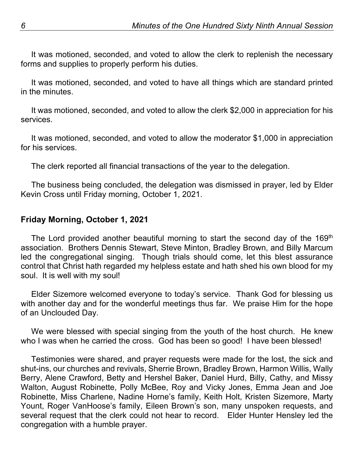It was motioned, seconded, and voted to allow the clerk to replenish the necessary forms and supplies to properly perform his duties.

It was motioned, seconded, and voted to have all things which are standard printed in the minutes.

It was motioned, seconded, and voted to allow the clerk \$2,000 in appreciation for his services.

It was motioned, seconded, and voted to allow the moderator \$1,000 in appreciation for his services.

The clerk reported all financial transactions of the year to the delegation.

The business being concluded, the delegation was dismissed in prayer, led by Elder Kevin Cross until Friday morning, October 1, 2021.

# **Friday Morning, October 1, 2021**

The Lord provided another beautiful morning to start the second day of the 169<sup>th</sup> association. Brothers Dennis Stewart, Steve Minton, Bradley Brown, and Billy Marcum led the congregational singing. Though trials should come, let this blest assurance control that Christ hath regarded my helpless estate and hath shed his own blood for my soul. It is well with my soul!

Elder Sizemore welcomed everyone to today's service. Thank God for blessing us with another day and for the wonderful meetings thus far. We praise Him for the hope of an Unclouded Day.

We were blessed with special singing from the youth of the host church. He knew who I was when he carried the cross. God has been so good! I have been blessed!

Testimonies were shared, and prayer requests were made for the lost, the sick and shut-ins, our churches and revivals, Sherrie Brown, Bradley Brown, Harmon Willis, Wally Berry, Alene Crawford, Betty and Hershel Baker, Daniel Hurd, Billy, Cathy, and Missy Walton, August Robinette, Polly McBee, Roy and Vicky Jones, Emma Jean and Joe Robinette, Miss Charlene, Nadine Horne's family, Keith Holt, Kristen Sizemore, Marty Yount, Roger VanHoose's family, Eileen Brown's son, many unspoken requests, and several request that the clerk could not hear to record. Elder Hunter Hensley led the congregation with a humble prayer.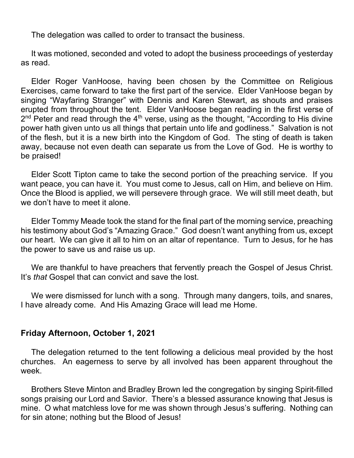The delegation was called to order to transact the business.

It was motioned, seconded and voted to adopt the business proceedings of yesterday as read.

Elder Roger VanHoose, having been chosen by the Committee on Religious Exercises, came forward to take the first part of the service. Elder VanHoose began by singing "Wayfaring Stranger" with Dennis and Karen Stewart, as shouts and praises erupted from throughout the tent. Elder VanHoose began reading in the first verse of  $2<sup>nd</sup>$  Peter and read through the  $4<sup>th</sup>$  verse, using as the thought, "According to His divine power hath given unto us all things that pertain unto life and godliness." Salvation is not of the flesh, but it is a new birth into the Kingdom of God. The sting of death is taken away, because not even death can separate us from the Love of God. He is worthy to be praised!

Elder Scott Tipton came to take the second portion of the preaching service. If you want peace, you can have it. You must come to Jesus, call on Him, and believe on Him. Once the Blood is applied, we will persevere through grace. We will still meet death, but we don't have to meet it alone.

Elder Tommy Meade took the stand for the final part of the morning service, preaching his testimony about God's "Amazing Grace." God doesn't want anything from us, except our heart. We can give it all to him on an altar of repentance. Turn to Jesus, for he has the power to save us and raise us up.

We are thankful to have preachers that fervently preach the Gospel of Jesus Christ. It's *that* Gospel that can convict and save the lost.

We were dismissed for lunch with a song. Through many dangers, toils, and snares, I have already come. And His Amazing Grace will lead me Home.

## **Friday Afternoon, October 1, 2021**

The delegation returned to the tent following a delicious meal provided by the host churches. An eagerness to serve by all involved has been apparent throughout the week.

Brothers Steve Minton and Bradley Brown led the congregation by singing Spirit-filled songs praising our Lord and Savior. There's a blessed assurance knowing that Jesus is mine. O what matchless love for me was shown through Jesus's suffering. Nothing can for sin atone; nothing but the Blood of Jesus!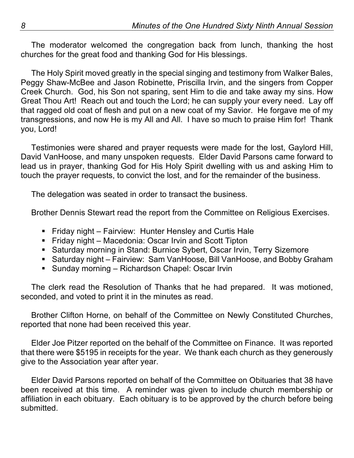The moderator welcomed the congregation back from lunch, thanking the host churches for the great food and thanking God for His blessings.

The Holy Spirit moved greatly in the special singing and testimony from Walker Bales, Peggy Shaw-McBee and Jason Robinette, Priscilla Irvin, and the singers from Copper Creek Church. God, his Son not sparing, sent Him to die and take away my sins. How Great Thou Art! Reach out and touch the Lord; he can supply your every need. Lay off that ragged old coat of flesh and put on a new coat of my Savior. He forgave me of my transgressions, and now He is my All and All. I have so much to praise Him for! Thank you, Lord!

Testimonies were shared and prayer requests were made for the lost, Gaylord Hill, David VanHoose, and many unspoken requests. Elder David Parsons came forward to lead us in prayer, thanking God for His Holy Spirit dwelling with us and asking Him to touch the prayer requests, to convict the lost, and for the remainder of the business.

The delegation was seated in order to transact the business.

Brother Dennis Stewart read the report from the Committee on Religious Exercises.

- Friday night Fairview: Hunter Hensley and Curtis Hale
- Friday night Macedonia: Oscar Irvin and Scott Tipton
- Saturday morning in Stand: Burnice Sybert, Oscar Irvin, Terry Sizemore
- Saturday night Fairview: Sam VanHoose, Bill VanHoose, and Bobby Graham
- Sunday morning Richardson Chapel: Oscar Irvin

The clerk read the Resolution of Thanks that he had prepared. It was motioned, seconded, and voted to print it in the minutes as read.

Brother Clifton Horne, on behalf of the Committee on Newly Constituted Churches, reported that none had been received this year.

Elder Joe Pitzer reported on the behalf of the Committee on Finance. It was reported that there were \$5195 in receipts for the year. We thank each church as they generously give to the Association year after year.

Elder David Parsons reported on behalf of the Committee on Obituaries that 38 have been received at this time. A reminder was given to include church membership or affiliation in each obituary. Each obituary is to be approved by the church before being submitted.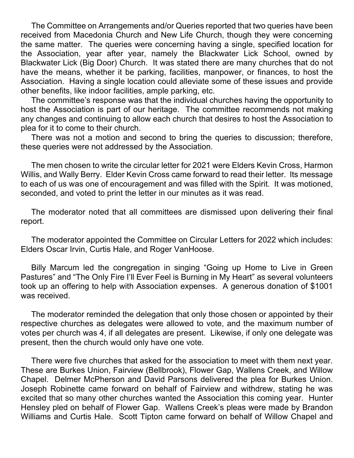The Committee on Arrangements and/or Queries reported that two queries have been received from Macedonia Church and New Life Church, though they were concerning the same matter. The queries were concerning having a single, specified location for the Association, year after year, namely the Blackwater Lick School, owned by Blackwater Lick (Big Door) Church. It was stated there are many churches that do not have the means, whether it be parking, facilities, manpower, or finances, to host the Association. Having a single location could alleviate some of these issues and provide other benefits, like indoor facilities, ample parking, etc.

The committee's response was that the individual churches having the opportunity to host the Association is part of our heritage. The committee recommends not making any changes and continuing to allow each church that desires to host the Association to plea for it to come to their church.

There was not a motion and second to bring the queries to discussion; therefore, these queries were not addressed by the Association.

The men chosen to write the circular letter for 2021 were Elders Kevin Cross, Harmon Willis, and Wally Berry. Elder Kevin Cross came forward to read their letter. Its message to each of us was one of encouragement and was filled with the Spirit. It was motioned, seconded, and voted to print the letter in our minutes as it was read.

The moderator noted that all committees are dismissed upon delivering their final report.

The moderator appointed the Committee on Circular Letters for 2022 which includes: Elders Oscar Irvin, Curtis Hale, and Roger VanHoose.

Billy Marcum led the congregation in singing "Going up Home to Live in Green Pastures" and "The Only Fire I'll Ever Feel is Burning in My Heart" as several volunteers took up an offering to help with Association expenses. A generous donation of \$1001 was received.

The moderator reminded the delegation that only those chosen or appointed by their respective churches as delegates were allowed to vote, and the maximum number of votes per church was 4, if all delegates are present. Likewise, if only one delegate was present, then the church would only have one vote.

There were five churches that asked for the association to meet with them next year. These are Burkes Union, Fairview (Bellbrook), Flower Gap, Wallens Creek, and Willow Chapel. Delmer McPherson and David Parsons delivered the plea for Burkes Union. Joseph Robinette came forward on behalf of Fairview and withdrew, stating he was excited that so many other churches wanted the Association this coming year. Hunter Hensley pled on behalf of Flower Gap. Wallens Creek's pleas were made by Brandon Williams and Curtis Hale. Scott Tipton came forward on behalf of Willow Chapel and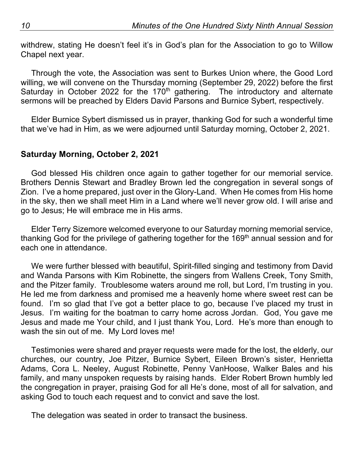withdrew, stating He doesn't feel it's in God's plan for the Association to go to Willow Chapel next year.

Through the vote, the Association was sent to Burkes Union where, the Good Lord willing, we will convene on the Thursday morning (September 29, 2022) before the first Saturday in October 2022 for the 170<sup>th</sup> gathering. The introductory and alternate sermons will be preached by Elders David Parsons and Burnice Sybert, respectively.

Elder Burnice Sybert dismissed us in prayer, thanking God for such a wonderful time that we've had in Him, as we were adjourned until Saturday morning, October 2, 2021.

## **Saturday Morning, October 2, 2021**

God blessed His children once again to gather together for our memorial service. Brothers Dennis Stewart and Bradley Brown led the congregation in several songs of Zion. I've a home prepared, just over in the Glory-Land. When He comes from His home in the sky, then we shall meet Him in a Land where we'll never grow old. I will arise and go to Jesus; He will embrace me in His arms.

Elder Terry Sizemore welcomed everyone to our Saturday morning memorial service, thanking God for the privilege of gathering together for the 169<sup>th</sup> annual session and for each one in attendance.

We were further blessed with beautiful, Spirit-filled singing and testimony from David and Wanda Parsons with Kim Robinette, the singers from Wallens Creek, Tony Smith, and the Pitzer family. Troublesome waters around me roll, but Lord, I'm trusting in you. He led me from darkness and promised me a heavenly home where sweet rest can be found. I'm so glad that I've got a better place to go, because I've placed my trust in Jesus. I'm waiting for the boatman to carry home across Jordan. God, You gave me Jesus and made me Your child, and I just thank You, Lord. He's more than enough to wash the sin out of me. My Lord loves me!

Testimonies were shared and prayer requests were made for the lost, the elderly, our churches, our country, Joe Pitzer, Burnice Sybert, Eileen Brown's sister, Henrietta Adams, Cora L. Neeley, August Robinette, Penny VanHoose, Walker Bales and his family, and many unspoken requests by raising hands. Elder Robert Brown humbly led the congregation in prayer, praising God for all He's done, most of all for salvation, and asking God to touch each request and to convict and save the lost.

The delegation was seated in order to transact the business.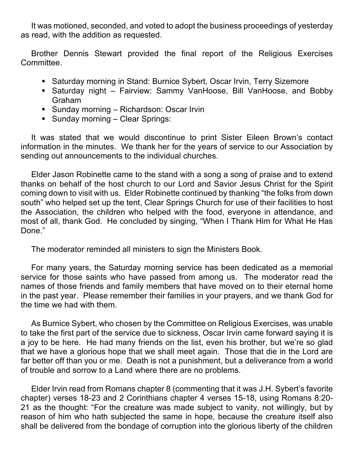It was motioned, seconded, and voted to adopt the business proceedings of yesterday as read, with the addition as requested.

Brother Dennis Stewart provided the final report of the Religious Exercises Committee.

- Saturday morning in Stand: Burnice Sybert, Oscar Irvin, Terry Sizemore
- § Saturday night Fairview: Sammy VanHoose, Bill VanHoose, and Bobby Graham
- Sunday morning Richardson: Oscar Irvin
- Sunday morning Clear Springs:

It was stated that we would discontinue to print Sister Eileen Brown's contact information in the minutes. We thank her for the years of service to our Association by sending out announcements to the individual churches.

Elder Jason Robinette came to the stand with a song a song of praise and to extend thanks on behalf of the host church to our Lord and Savior Jesus Christ for the Spirit coming down to visit with us. Elder Robinette continued by thanking "the folks from down south" who helped set up the tent, Clear Springs Church for use of their facilities to host the Association, the children who helped with the food, everyone in attendance, and most of all, thank God. He concluded by singing, "When I Thank Him for What He Has Done."

The moderator reminded all ministers to sign the Ministers Book.

For many years, the Saturday morning service has been dedicated as a memorial service for those saints who have passed from among us. The moderator read the names of those friends and family members that have moved on to their eternal home in the past year. Please remember their families in your prayers, and we thank God for the time we had with them.

As Burnice Sybert, who chosen by the Committee on Religious Exercises, was unable to take the first part of the service due to sickness, Oscar Irvin came forward saying it is a joy to be here. He had many friends on the list, even his brother, but we're so glad that we have a glorious hope that we shall meet again. Those that die in the Lord are far better off than you or me. Death is not a punishment, but a deliverance from a world of trouble and sorrow to a Land where there are no problems.

Elder Irvin read from Romans chapter 8 (commenting that it was J.H. Sybert's favorite chapter) verses 18-23 and 2 Corinthians chapter 4 verses 15-18, using Romans 8:20- 21 as the thought: "For the creature was made subject to vanity, not willingly, but by reason of him who hath subjected the same in hope, because the creature itself also shall be delivered from the bondage of corruption into the glorious liberty of the children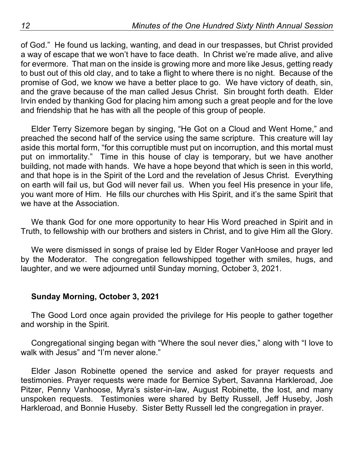of God." He found us lacking, wanting, and dead in our trespasses, but Christ provided a way of escape that we won't have to face death. In Christ we're made alive, and alive for evermore. That man on the inside is growing more and more like Jesus, getting ready to bust out of this old clay, and to take a flight to where there is no night. Because of the promise of God, we know we have a better place to go. We have victory of death, sin, and the grave because of the man called Jesus Christ. Sin brought forth death. Elder Irvin ended by thanking God for placing him among such a great people and for the love and friendship that he has with all the people of this group of people.

Elder Terry Sizemore began by singing, "He Got on a Cloud and Went Home," and preached the second half of the service using the same scripture. This creature will lay aside this mortal form, "for this corruptible must put on incorruption, and this mortal must put on immortality." Time in this house of clay is temporary, but we have another building, not made with hands. We have a hope beyond that which is seen in this world, and that hope is in the Spirit of the Lord and the revelation of Jesus Christ. Everything on earth will fail us, but God will never fail us. When you feel His presence in your life, you want more of Him. He fills our churches with His Spirit, and it's the same Spirit that we have at the Association.

We thank God for one more opportunity to hear His Word preached in Spirit and in Truth, to fellowship with our brothers and sisters in Christ, and to give Him all the Glory.

We were dismissed in songs of praise led by Elder Roger VanHoose and prayer led by the Moderator. The congregation fellowshipped together with smiles, hugs, and laughter, and we were adjourned until Sunday morning, October 3, 2021.

## **Sunday Morning, October 3, 2021**

The Good Lord once again provided the privilege for His people to gather together and worship in the Spirit.

Congregational singing began with "Where the soul never dies," along with "I love to walk with Jesus" and "I'm never alone."

Elder Jason Robinette opened the service and asked for prayer requests and testimonies. Prayer requests were made for Bernice Sybert, Savanna Harkleroad, Joe Pitzer, Penny Vanhoose, Myra's sister-in-law, August Robinette, the lost, and many unspoken requests. Testimonies were shared by Betty Russell, Jeff Huseby, Josh Harkleroad, and Bonnie Huseby. Sister Betty Russell led the congregation in prayer.